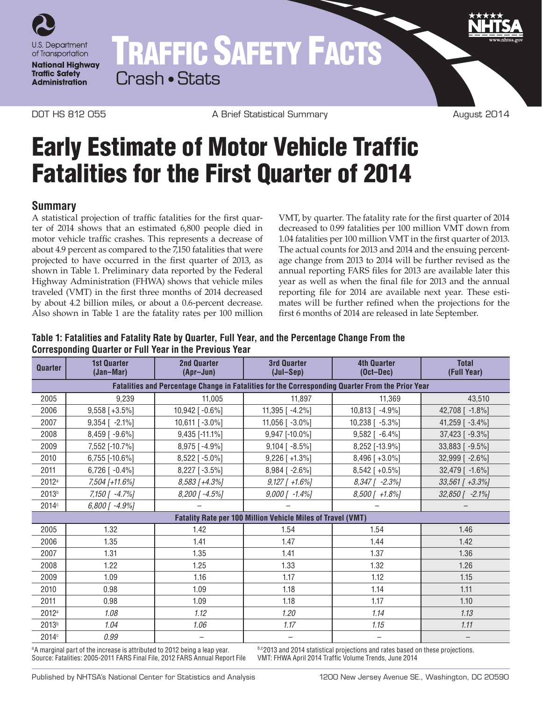

# TRAFFIC SAFETY FACTS Crash • Stats

DOT HS 812 055 A Brief Statistical Summary August 2014

# Early Estimate of Motor Vehicle Traffic Fatalities for the First Quarter of 2014

## **Summary**

A statistical projection of traffic fatalities for the first quarter of 2014 shows that an estimated 6,800 people died in motor vehicle traffic crashes. This represents a decrease of about 4.9 percent as compared to the 7,150 fatalities that were projected to have occurred in the first quarter of 2013, as shown in Table 1. Preliminary data reported by the Federal Highway Administration (FHWA) shows that vehicle miles traveled (VMT) in the first three months of 2014 decreased by about 4.2 billion miles, or about a 0.6-percent decrease. Also shown in Table 1 are the fatality rates per 100 million

VMT, by quarter. The fatality rate for the first quarter of 2014 decreased to 0.99 fatalities per 100 million VMT down from 1.04 fatalities per 100 million VMT in the first quarter of 2013. The actual counts for 2013 and 2014 and the ensuing percentage change from 2013 to 2014 will be further revised as the annual reporting FARS files for 2013 are available later this year as well as when the final file for 2013 and the annual reporting file for 2014 are available next year. These estimates will be further refined when the projections for the first 6 months of 2014 are released in late September.

#### **Table 1: Fatalities and Fatality Rate by Quarter, Full Year, and the Percentage Change From the Corresponding Quarter or Full Year in the Previous Year**

| Quarter                                                                                          | <b>1st Quarter</b><br>(Jan-Mar) | <b>2nd Quarter</b><br>(Apr-Jun) | <b>3rd Quarter</b><br>(Jul-Sep) | <b>4th Quarter</b><br>$(Oct-Dec)$ | <b>Total</b><br>(Full Year) |
|--------------------------------------------------------------------------------------------------|---------------------------------|---------------------------------|---------------------------------|-----------------------------------|-----------------------------|
| Fatalities and Percentage Change in Fatalities for the Corresponding Quarter From the Prior Year |                                 |                                 |                                 |                                   |                             |
| 2005                                                                                             | 9,239                           | 11,005                          | 11,897                          | 11.369                            | 43,510                      |
| 2006                                                                                             | $9,558$ [+3.5%]                 | 10,942 [-0.6%]                  | 11,395 [ -4.2%]                 | 10,813 [ -4.9%]                   | 42,708 [ -1.8%]             |
| 2007                                                                                             | $9,354$ [ -2.1%]                | 10,611 [-3.0%]                  | 11,056 [ -3.0%]                 | $10,238$ [ $-5.3\%$ ]             | 41,259 [ -3.4%]             |
| 2008                                                                                             | 8,459 [-9.6%]                   | 9,435 [-11.1%]                  | 9,947 [-10.0%]                  | $9,582$ [ -6.4%]                  | 37,423 [ -9.3%]             |
| 2009                                                                                             | 7,552 [-10.7%]                  | 8,975 [-4.9%]                   | $9,104$ [ $-8.5\%$ ]            | 8,252 [-13.9%]                    | 33,883 [-9.5%]              |
| 2010                                                                                             | 6,755 [-10.6%]                  | 8,522 [-5.0%]                   | $9,226$ [ +1.3%]                | $8,496$ [+3.0%]                   | 32,999 [ -2.6%]             |
| 2011                                                                                             | $6,726$ [ -0.4%]                | 8,227 [-3.5%]                   | 8,984 [ -2.6%]                  | $8,542$ [ +0.5%]                  | 32,479 [ -1.6%]             |
| 2012a                                                                                            | 7,504 [+11.6%]                  | 8,583 [+4.3%]                   | $9,127$ [ +1.6%]                | 8,347 [ -2.3%]                    | 33,561 [ +3.3%]             |
| 2013 <sup>b</sup>                                                                                | 7,150 [ -4.7%]                  | 8,200 [-4.5%]                   | $9,000$ [ $-1.4\%$ ]            | 8,500 [ +1.8%]                    | $32,850$ [ -2.1%]           |
| 2014 <sup>c</sup>                                                                                | $6,800$ [ -4.9%]                |                                 |                                 |                                   |                             |
| <b>Fatality Rate per 100 Million Vehicle Miles of Travel (VMT)</b>                               |                                 |                                 |                                 |                                   |                             |
| 2005                                                                                             | 1.32                            | 1.42                            | 1.54                            | 1.54                              | 1.46                        |
| 2006                                                                                             | 1.35                            | 1.41                            | 1.47                            | 1.44                              | 1.42                        |
| 2007                                                                                             | 1.31                            | 1.35                            | 1.41                            | 1.37                              | 1.36                        |
| 2008                                                                                             | 1.22                            | 1.25                            | 1.33                            | 1.32                              | 1.26                        |
| 2009                                                                                             | 1.09                            | 1.16                            | 1.17                            | 1.12                              | 1.15                        |
| 2010                                                                                             | 0.98                            | 1.09                            | 1.18                            | 1.14                              | 1.11                        |
| 2011                                                                                             | 0.98                            | 1.09                            | 1.18                            | 1.17                              | 1.10                        |
| 2012 <sup>a</sup>                                                                                | 1.08                            | 1.12                            | 1.20                            | 1.14                              | 1.13                        |
| 2013 <sup>b</sup>                                                                                | 1.04                            | 1.06                            | 1.17                            | 1.15                              | 1.11                        |
| 2014 <sup>c</sup>                                                                                | 0.99                            |                                 |                                 |                                   |                             |

<sup>a</sup>A marginal part of the increase is attributed to 2012 being a leap year. Source: Fatalities: 2005-2011 FARS Final File, 2012 FARS Annual Report File b. 2013 and 2014 statistical projections and rates based on these projections.<br>VMT: FHWA April 2014 Traffic Volume Trends, June 2014